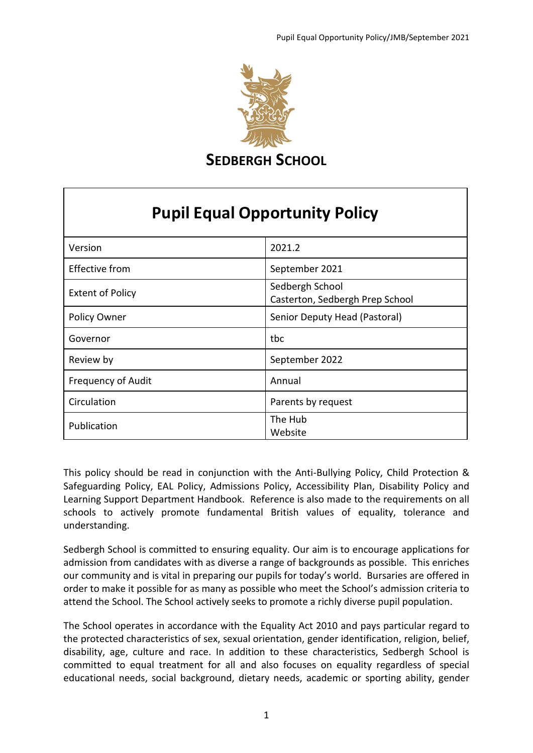

**SEDBERGH SCHOOL** 

## **Pupil Equal Opportunity Policy**

| Version                   | 2021.2                                             |
|---------------------------|----------------------------------------------------|
| <b>Effective from</b>     | September 2021                                     |
| <b>Extent of Policy</b>   | Sedbergh School<br>Casterton, Sedbergh Prep School |
| Policy Owner              | Senior Deputy Head (Pastoral)                      |
| Governor                  | tbc                                                |
| Review by                 | September 2022                                     |
| <b>Frequency of Audit</b> | Annual                                             |
| Circulation               | Parents by request                                 |
| Publication               | The Hub<br>Website                                 |

This policy should be read in conjunction with the Anti-Bullying Policy, Child Protection & Safeguarding Policy, EAL Policy, Admissions Policy, Accessibility Plan, Disability Policy and Learning Support Department Handbook. Reference is also made to the requirements on all schools to actively promote fundamental British values of equality, tolerance and understanding.

Sedbergh School is committed to ensuring equality. Our aim is to encourage applications for admission from candidates with as diverse a range of backgrounds as possible. This enriches our community and is vital in preparing our pupils for today's world. Bursaries are offered in order to make it possible for as many as possible who meet the School's admission criteria to attend the School. The School actively seeks to promote a richly diverse pupil population.

The School operates in accordance with the Equality Act 2010 and pays particular regard to the protected characteristics of sex, sexual orientation, gender identification, religion, belief, disability, age, culture and race. In addition to these characteristics, Sedbergh School is committed to equal treatment for all and also focuses on equality regardless of special educational needs, social background, dietary needs, academic or sporting ability, gender